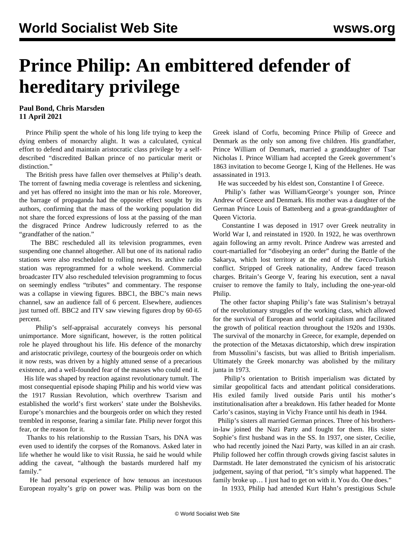## **Prince Philip: An embittered defender of hereditary privilege**

## **Paul Bond, Chris Marsden 11 April 2021**

 Prince Philip spent the whole of his long life trying to keep the dying embers of monarchy alight. It was a calculated, cynical effort to defend and maintain aristocratic class privilege by a selfdescribed "discredited Balkan prince of no particular merit or distinction."

 The British press have fallen over themselves at Philip's death. The torrent of fawning media coverage is relentless and sickening, and yet has offered no insight into the man or his role. Moreover, the barrage of propaganda had the opposite effect sought by its authors, confirming that the mass of the working population did not share the forced expressions of loss at the passing of the man the disgraced Prince Andrew ludicrously referred to as the "grandfather of the nation."

 The BBC rescheduled all its television programmes, even suspending one channel altogether. All but one of its national radio stations were also rescheduled to rolling news. Its archive radio station was reprogrammed for a whole weekend. Commercial broadcaster ITV also rescheduled television programming to focus on seemingly endless "tributes" and commentary. The response was a collapse in viewing figures. BBC1, the BBC's main news channel, saw an audience fall of 6 percent. Elsewhere, audiences just turned off. BBC2 and ITV saw viewing figures drop by 60-65 percent.

 Philip's self-appraisal accurately conveys his personal unimportance. More significant, however, is the rotten political role he played throughout his life. His defence of the monarchy and aristocratic privilege, courtesy of the bourgeois order on which it now rests, was driven by a highly attuned sense of a precarious existence, and a well-founded fear of the masses who could end it.

 His life was shaped by reaction against revolutionary tumult. The most consequential episode shaping Philip and his world view was the 1917 Russian Revolution, which overthrew Tsarism and established the world's first workers' state under the Bolsheviks. Europe's monarchies and the bourgeois order on which they rested trembled in response, fearing a similar fate. Philip never forgot this fear, or the reason for it.

 Thanks to his relationship to the Russian Tsars, his DNA was even used to identify the corpses of the Romanovs. Asked later in life whether he would like to visit Russia, he said he would while adding the caveat, "although the bastards murdered half my family."

 He had personal experience of how tenuous an incestuous European royalty's grip on power was. Philip was born on the Greek island of Corfu, becoming Prince Philip of Greece and Denmark as the only son among five children. His grandfather, Prince William of Denmark, married a granddaughter of Tsar Nicholas I. Prince William had accepted the Greek government's 1863 invitation to become George I, King of the Hellenes. He was assassinated in 1913.

He was succeeded by his eldest son, Constantine I of Greece.

 Philip's father was William/George's younger son, Prince Andrew of Greece and Denmark. His mother was a daughter of the German Prince Louis of Battenberg and a great-granddaughter of Queen Victoria.

 Constantine I was deposed in 1917 over Greek neutrality in World War I, and reinstated in 1920. In 1922, he was overthrown again following an army revolt. Prince Andrew was arrested and court-martialled for "disobeying an order" during the Battle of the Sakarya, which lost territory at the end of the Greco-Turkish conflict. Stripped of Greek nationality, Andrew faced treason charges. Britain's George V, fearing his execution, sent a naval cruiser to remove the family to Italy, including the one-year-old Philip.

 The other factor shaping Philip's fate was Stalinism's betrayal of the revolutionary struggles of the working class, which allowed for the survival of European and world capitalism and facilitated the growth of political reaction throughout the 1920s and 1930s. The survival of the monarchy in Greece, for example, depended on the protection of the Metaxas dictatorship, which drew inspiration from Mussolini's fascists, but was allied to British imperialism. Ultimately the Greek monarchy was abolished by the military junta in 1973.

 Philip's orientation to British imperialism was dictated by similar geopolitical facts and attendant political considerations. His exiled family lived outside Paris until his mother's institutionalisation after a breakdown. His father headed for Monte Carlo's casinos, staying in Vichy France until his death in 1944.

 Philip's sisters all married German princes. Three of his brothersin-law joined the Nazi Party and fought for them. His sister Sophie's first husband was in the SS. In 1937, one sister, Cecilie, who had recently joined the Nazi Party, was killed in an air crash. Philip followed her coffin through crowds giving fascist salutes in Darmstadt. He later demonstrated the cynicism of his aristocratic judgement, saying of that period, "It's simply what happened. The family broke up... I just had to get on with it. You do. One does."

In 1933, Philip had attended Kurt Hahn's prestigious Schule